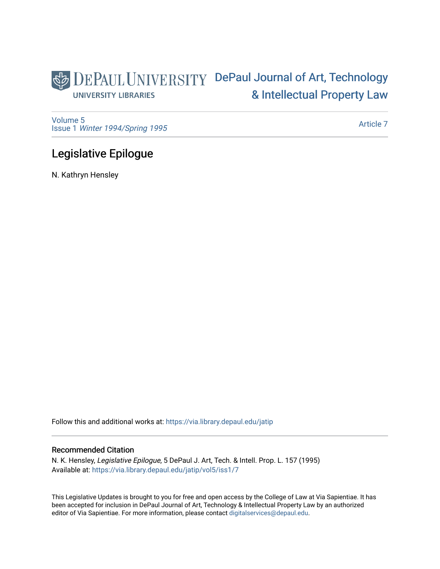## DEPAUL UNIVERSITY DePaul Journal of Art, Technology [& Intellectual Property Law](https://via.library.depaul.edu/jatip)  **UNIVERSITY LIBRARIES**

[Volume 5](https://via.library.depaul.edu/jatip/vol5) Issue 1 [Winter 1994/Spring 1995](https://via.library.depaul.edu/jatip/vol5/iss1)

[Article 7](https://via.library.depaul.edu/jatip/vol5/iss1/7) 

## Legislative Epilogue

N. Kathryn Hensley

Follow this and additional works at: [https://via.library.depaul.edu/jatip](https://via.library.depaul.edu/jatip?utm_source=via.library.depaul.edu%2Fjatip%2Fvol5%2Fiss1%2F7&utm_medium=PDF&utm_campaign=PDFCoverPages)

### Recommended Citation

N. K. Hensley, Legislative Epilogue, 5 DePaul J. Art, Tech. & Intell. Prop. L. 157 (1995) Available at: [https://via.library.depaul.edu/jatip/vol5/iss1/7](https://via.library.depaul.edu/jatip/vol5/iss1/7?utm_source=via.library.depaul.edu%2Fjatip%2Fvol5%2Fiss1%2F7&utm_medium=PDF&utm_campaign=PDFCoverPages)

This Legislative Updates is brought to you for free and open access by the College of Law at Via Sapientiae. It has been accepted for inclusion in DePaul Journal of Art, Technology & Intellectual Property Law by an authorized editor of Via Sapientiae. For more information, please contact [digitalservices@depaul.edu](mailto:digitalservices@depaul.edu).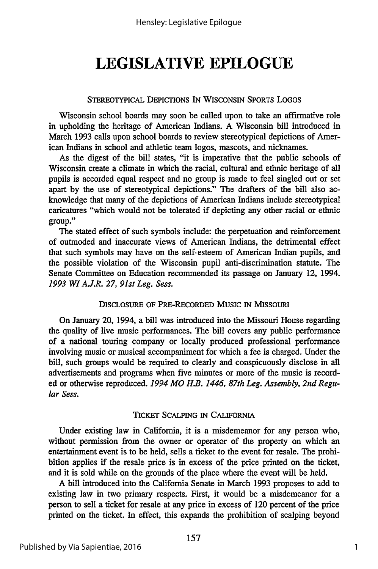# **LEGISLATIVE EPILOGUE**

### **STEREOTYPICAL DEPICrIONS IN WISCONSIN SPORTS LOGOS**

Wisconsin school boards may soon be called upon to take an affirmative role in upholding the heritage of American Indians. A Wisconsin bill introduced in March 1993 calls upon school boards to review stereotypical depictions of American Indians in school and athletic team logos, mascots, and nicknames.

As the digest of the bill states, "it is imperative that the public schools of Wisconsin create a climate in which the racial, cultural and ethnic heritage of all pupils is accorded equal respect and no group is made to feel singled out or set apart by the use of stereotypical depictions." The drafters of the bill also acknowledge that many of the depictions of American Indians include stereotypical caricatures "which would not be tolerated if depicting any other racial or ethnic group."

The stated effect of such symbols include: the perpetuation and reinforcement of outmoded and inaccurate views of American Indians, the detrimental effect that such symbols may have on the self-esteem of American Indian pupils, and the possible violation of the Wisconsin pupil anti-discrimination statute. The Senate Committee on Education recommended its passage on January 12, 1994. *1993 WI A.J.R. 27, 91st Leg. Sess.*

### DISCLOSURE **OF** PRE-RECORDED **MusIc** IN **MISSOURI**

On January 20, 1994, a bill was introduced into the Missouri House regarding the quality of live music performances. The bill covers any public performance of a national touring company or locally produced professional performance involving music or musical accompaniment for which a fee is charged. Under the bill, such groups would be required to clearly and conspicuously disclose in all advertisements and programs when five minutes or more of the music is recorded or otherwise reproduced. *1994 MO H.B. 1446, 87th Leg. Assembly, 2nd Regular Sess.*

### **TICKET SCALPING IN** CALIFORNIA

Under existing law in California, it is a misdemeanor for any person who, without permission from the owner or operator of the property on which an entertainment event is to be held, sells a ticket to the event for resale. The prohibition applies if the resale price is in excess of the price printed on the ticket, and it is sold while on the grounds of the place where the event will be held.

A bill introduced into the California Senate in March 1993 proposes to add to existing law in two primary respects. First, it would be a misdemeanor for a person to sell a ticket for resale at any price in excess of 120 percent of the price printed on the ticket. In effect, this expands the prohibition of scalping beyond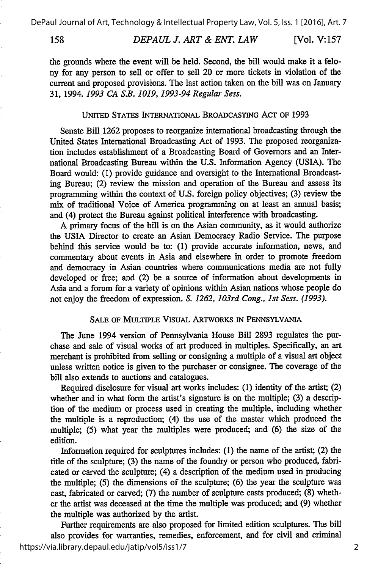158

#### *DEPAUL J. ART & ENT. LAW* [Vol. **V:157**

the grounds where the event will be held. Second, the bill would make it a felony for any person to sell or offer to sell 20 or more tickets in violation of the current and proposed provisions. The last action taken on the bill was on January 31, 1994. *1993 CA S.B. 1019, 1993-94 Regular Sess.*

### UNITED **STATES** INTERNATIONAL **BROADCASTING** ACT OF 1993

Senate Bill 1262 proposes to reorganize international broadcasting through the United States International Broadcasting Act of 1993. The proposed reorganization includes establishment of a Broadcasting Board of Governors and an International Broadcasting Bureau within the U.S. Information Agency (USIA). The Board would: **(1)** provide guidance and oversight to the International Broadcasting Bureau; (2) review the mission and operation of the Bureau and assess its programming within the context of U.S. foreign policy objectives; (3) review the mix of traditional Voice of America programming on at least an annual basis; and (4) protect the Bureau against political interference with broadcasting.

A primary focus of the bill is on the Asian community, as it would authorize the USIA Director to create an Asian Democracy Radio Service. The purpose behind this service would be to: **(1)** provide accurate information, news, and commentary about events in Asia and elsewhere in order to promote freedom and democracy in Asian countries where communications media are not fully developed or free; and (2) be a source of information about developments in Asia and a forum for a variety of opinions within Asian nations whose people do not enjoy the freedom of expression. *S. 1262, 103rd Cong., 1st Sess. (1993).*

### **SALE** OF **MULTIPLE** VISUAL **ARTWORKS** IN **PENNsYLVANIA**

The June 1994 version of Pennsylvania House Bill 2893 regulates the purchase and sale of visual works of art produced in multiples. Specifically, an art merchant is prohibited from selling or consigning a multiple of a visual art object unless written notice is given to the purchaser or consignee. The coverage of the bill also extends to auctions and catalogues.

Required disclosure for visual art works includes: **(1)** identity of the artist; (2) whether and in what form the artist's signature is on the multiple; **(3)** a description of the medium or process used in creating the multiple, including whether the multiple is a reproduction; (4) the use of the master which produced the multiple; **(5)** what year the multiples were produced; and (6) the size of the edition.

Information required for sculptures includes: **(1)** the name of the artist; (2) the title of the sculpture; **(3)** the name of the foundry or person who produced, fabricated or carved the sculpture; (4) a description of the medium used in producing the multiple; **(5)** the dimensions of the sculpture; (6) the year the sculpture was cast, fabricated or carved; **(7)** the number of sculpture casts produced; (8) whether the artist was deceased at the time the multiple was produced; and (9) whether the multiple was authorized **by** the artist.

Further requirements are also proposed for limited edition sculptures. The bill also provides for warranties, remedies, enforcement, and for civil and criminal https://via.library.depaul.edu/jatip/vol5/iss1/7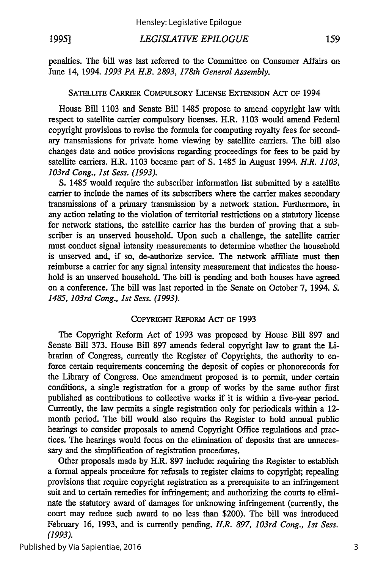#### *LEGISLATIVE EPILOGUE* 159

penalties. The bill was last referred to the Committee on Consumer Affairs on June 14, 1994. *1993 PA H.B. 2893, 178th General Assembly.*

### SATELLITE CARRIER COMPULSORY LICENSE EXTENSION *AcT* OF 1994

House Bill 1103 and Senate Bill 1485 propose to amend copyright law with respect to satellite carrier compulsory licenses. H.R. 1103 would amend Federal copyright provisions to revise the formula for computing royalty fees for secondary transmissions for private home viewing by satellite carriers. The bill also changes date and notice provisions regarding proceedings for fees to be paid by satellite carriers. H.R. 1103 became part of S. 1485 in August 1994. *H.R. 1103, 103rd Cong., 1st Sess. (1993).*

S. 1485 would require the subscriber information list submitted by a satellite carrier to include the names of its subscribers where the carrier makes secondary transmissions of a primary transmission by a network station. Furthermore, in any action relating to the violation of territorial restrictions on a statutory license for network stations, the satellite carrier has the burden of proving that a subscriber is an unserved household. Upon such a challenge, the satellite carrier must conduct signal intensity measurements to determine whether the household is unserved and, if so, de-authorize service. The network affiliate must then reimburse a carrier for any signal intensity measurement that indicates the household is an unserved household. The bill is pending and both houses have agreed on a conference. The bill was last reported in the Senate on October 7, 1994. *S. 1485, 103rd Cong., 1st Sess. (1993).*

### COPYRIGHT REFORM Acr OF 1993

The Copyright Reform Act of 1993 was proposed by House Bill 897 and Senate Bill 373. House Bill 897 amends federal copyright law to grant the Librarian of Congress, currently the Register of Copyrights, the authority to enforce certain requirements concerning the deposit of copies or phonorecords for the Library of Congress. One amendment proposed is to permit, under certain conditions, a single registration for a group of works by the same author first published as contributions to collective works if it is within a five-year period. Currently, the law permits a single registration only for periodicals within a 12 month period. The bill would also require the Register to hold annual public hearings to consider proposals to amend Copyright Office regulations and practices. The hearings would focus on the elimination of deposits that are unnecessary and the simplification of registration procedures.

Other proposals made by H.R. 897 include: requiring the Register to establish a formal appeals procedure for refusals to register claims to copyright; repealing provisions that require copyright registration as a prerequisite to an infringement suit and to certain remedies for infringement; and authorizing the courts to eliminate the statutory award of damages for unknowing infringement (currently, the court may reduce such award to no less than \$200). The bill was introduced February 16, 1993, and is currently pending. *H.R. 897, 103rd Cong., 1st Sess. (1993).*

Published by Via Sapientiae, 2016